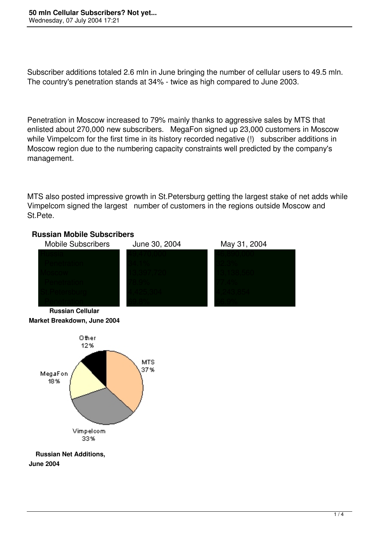Subscriber additions totaled 2.6 mln in June bringing the number of cellular users to 49.5 mln. The country's penetration stands at 34% - twice as high compared to June 2003.

Penetration in Moscow increased to 79% mainly thanks to aggressive sales by MTS that enlisted about 270,000 new subscribers. MegaFon signed up 23,000 customers in Moscow while Vimpelcom for the first time in its history recorded negative (!) subscriber additions in Moscow region due to the numbering capacity constraints well predicted by the company's management.

MTS also posted impressive growth in St.Petersburg getting the largest stake of net adds while Vimpelcom signed the largest number of customers in the regions outside Moscow and St.Pete.

## **Russian Mobile Subscribers**





 **Russian Net Additions, June 2004**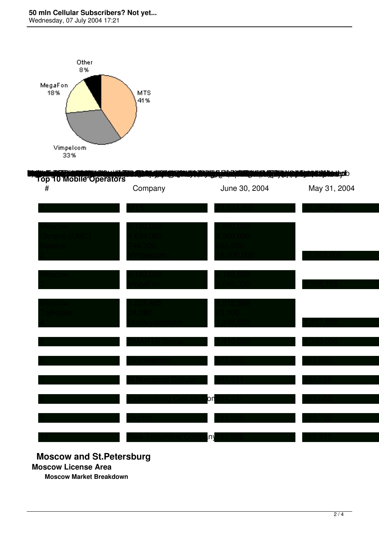## **50 mln Cellular Subscribers? Not yet...**

Wednesday, 07 July 2004 17:21



| Tóp 10 Mobile Operators<br>$\#$ | Company | June 30, 2004 | May 31, 2004 |
|---------------------------------|---------|---------------|--------------|
|                                 |         |               |              |
|                                 |         |               |              |
|                                 |         |               |              |
|                                 |         |               |              |
|                                 |         |               |              |
|                                 |         |               |              |
|                                 |         |               |              |
|                                 |         |               |              |
|                                 |         |               |              |
|                                 |         | on            |              |
|                                 |         |               |              |

## **Moscow and St.Petersburg**

**Moscow License Area**

**Moscow Market Breakdown**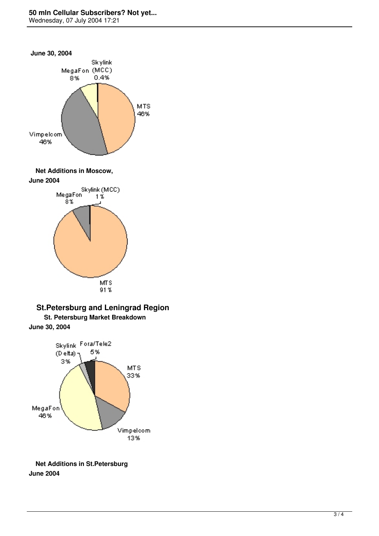## **50 mln Cellular Subscribers? Not yet...**

Wednesday, 07 July 2004 17:21









**June 30, 2004**



 **Net Additions in St.Petersburg June 2004**